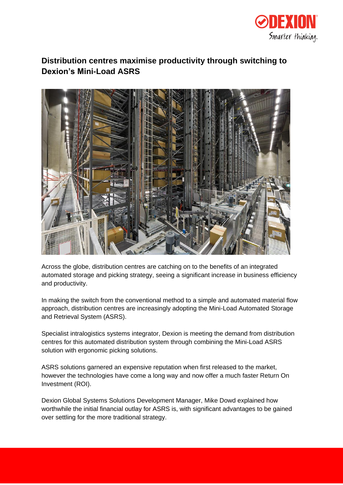

# **Distribution centres maximise productivity through switching to Dexion's Mini-Load ASRS**



Across the globe, distribution centres are catching on to the benefits of an integrated automated storage and picking strategy, seeing a significant increase in business efficiency and productivity.

In making the switch from the conventional method to a simple and automated material flow approach, distribution centres are increasingly adopting the Mini-Load Automated Storage and Retrieval System (ASRS).

Specialist intralogistics systems integrator, Dexion is meeting the demand from distribution centres for this automated distribution system through combining the Mini-Load ASRS solution with ergonomic picking solutions.

ASRS solutions garnered an expensive reputation when first released to the market, however the technologies have come a long way and now offer a much faster Return On Investment (ROI).

Dexion Global Systems Solutions Development Manager, Mike Dowd explained how worthwhile the initial financial outlay for ASRS is, with significant advantages to be gained over settling for the more traditional strategy.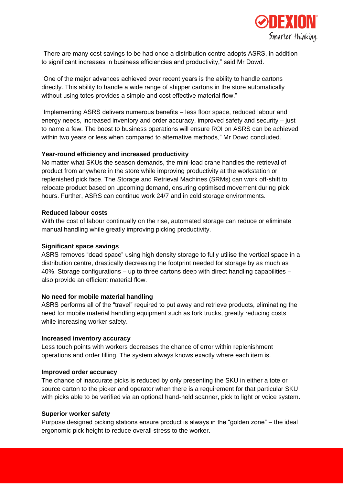

"There are many cost savings to be had once a distribution centre adopts ASRS, in addition to significant increases in business efficiencies and productivity," said Mr Dowd.

"One of the major advances achieved over recent years is the ability to handle cartons directly. This ability to handle a wide range of shipper cartons in the store automatically without using totes provides a simple and cost effective material flow."

"Implementing ASRS delivers numerous benefits – less floor space, reduced labour and energy needs, increased inventory and order accuracy, improved safety and security – just to name a few. The boost to business operations will ensure ROI on ASRS can be achieved within two years or less when compared to alternative methods," Mr Dowd concluded.

# **Year-round efficiency and increased productivity**

No matter what SKUs the season demands, the mini-load crane handles the retrieval of product from anywhere in the store while improving productivity at the workstation or replenished pick face. The Storage and Retrieval Machines (SRMs) can work off-shift to relocate product based on upcoming demand, ensuring optimised movement during pick hours. Further, ASRS can continue work 24/7 and in cold storage environments.

# **Reduced labour costs**

With the cost of labour continually on the rise, automated storage can reduce or eliminate manual handling while greatly improving picking productivity.

# **Significant space savings**

ASRS removes "dead space" using high density storage to fully utilise the vertical space in a distribution centre, drastically decreasing the footprint needed for storage by as much as 40%. Storage configurations – up to three cartons deep with direct handling capabilities – also provide an efficient material flow.

#### **No need for mobile material handling**

ASRS performs all of the "travel" required to put away and retrieve products, eliminating the need for mobile material handling equipment such as fork trucks, greatly reducing costs while increasing worker safety.

# **Increased inventory accuracy**

Less touch points with workers decreases the chance of error within replenishment operations and order filling. The system always knows exactly where each item is.

#### **Improved order accuracy**

The chance of inaccurate picks is reduced by only presenting the SKU in either a tote or source carton to the picker and operator when there is a requirement for that particular SKU with picks able to be verified via an optional hand-held scanner, pick to light or voice system.

#### **Superior worker safety**

Purpose designed picking stations ensure product is always in the "golden zone" – the ideal ergonomic pick height to reduce overall stress to the worker.